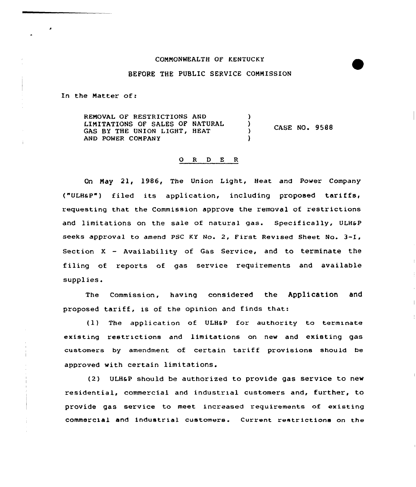## COMNONWEALTH OF KENTUCKY

## BEFORE THE PUBLIC SERVICE CONNISSION

In the Matter of:

REMOVAL OF RESTRICTIONS AND LIMITATIONS OF SALES OF NATURAL  $\lambda$ CASE NO. 9588 GAS BY THE UNION LIGHT, HEAT  $\lambda$ AND POWER COMPANY

## O R D E R

On Nay 21, 1986, The Union Light, Heat and Power Company ("ULHaP") filed its application, including proposed tariffs, requesting that the Commission approve the removal of restrictions and limitations on the sale of natural gas. Specifically, ULHSP seeks approval to amend PSC KY No. 2, First Revised Sheet No. 3-I, Section <sup>X</sup> — Availability of Gas Service, and to terminate the filing of reports of gas service requirements and available suppl ies.

The Commission, having considered the Application and proposed tariff, is of the opinion and finds that:

 $(1)$  The application of ULH&P for authority to terminate existing restrictions and limitations on new and existing gas customers by amendment of certain tariff provisions should be approved with certain limitations.

(2) ULHaP should be authorized to provide gas service to new residential, commercial and industrial customers and, further, to provide gas service to meet increased requirements of existing commercial and industrial customers. Current restrictions on the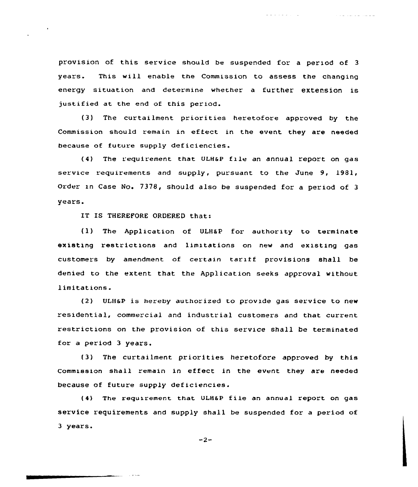provision of this service should be suspended for a period of 3 years. This will enable the Commission to assess the changing energy situation and determine whether a further extension is justified at the end of this period.

a a shekarar ta 1

كالمستعمل والمتعارف والمتاري

(3) The curtailment priorities heretofore approved by the Commission should remain in effect in the event they are needed because of future supply deficiencies.

(4) The requirement that ULH6P file an annual report on gas service requirements and supply, pursuant to the June 9, 1981, Order in Case No. 7378, should also be suspended for a period of 3 years.

IT IS THEREFORE ORDERED that:

متحدة المنتش

(1) The Application of ULH&P for authority to terminate existing restrictions and limxtations on new and existing gas customers by amendment of certain tariff provisions shall be denied to the extent that the Application seeks approval without limitations.

 $(2)$  ULH&P is hereby authorized to provide gas service to new residential, commercial and industrial customers and that current restrictions on the provision of this service shall be terminated for a period 3 years.

(3) The curtailment priorities heretofore approved by this Commission shall remain in effect in the event they are needed because of future supply deficiencies.

(4) The requirement that ULH6P file an annual report on gas service requirements and supply shall be suspended for a period of 3 years.

 $-2-$